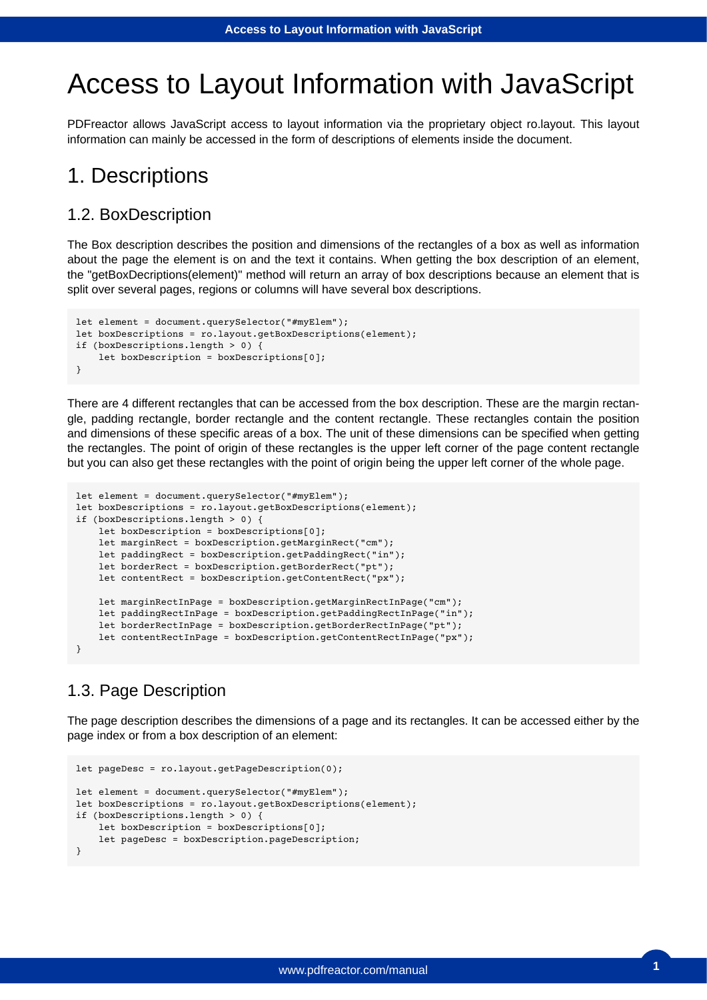# Access to Layout Information with JavaScript

PDFreactor allows JavaScript access to layout information via the proprietary object ro.layout. This layout information can mainly be accessed in the form of descriptions of elements inside the document.

# 1. Descriptions

# 1.2. BoxDescription

The Box description describes the position and dimensions of the rectangles of a box as well as information about the page the element is on and the text it contains. When getting the box description of an element, the "getBoxDecriptions(element)" method will return an array of box descriptions because an element that is split over several pages, regions or columns will have several box descriptions.

```
let element = document.querySelector("#myElem"); 
let boxDescriptions = ro.layout.getBoxDescriptions(element); 
if (boxDescriptions.length > 0) { 
    let boxDescription = boxDescriptions[0]; 
}
```
There are 4 different rectangles that can be accessed from the box description. These are the margin rectangle, padding rectangle, border rectangle and the content rectangle. These rectangles contain the position and dimensions of these specific areas of a box. The unit of these dimensions can be specified when getting the rectangles. The point of origin of these rectangles is the upper left corner of the page content rectangle but you can also get these rectangles with the point of origin being the upper left corner of the whole page.

```
let element = document.querySelector("#myElem"); 
let boxDescriptions = ro.layout.getBoxDescriptions(element); 
if (boxDescriptions.length > 0) {
    let boxDescription = boxDescriptions[0]; 
    let marginRect = boxDescription.getMarginRect("cm"); 
    let paddingRect = boxDescription.getPaddingRect("in"); 
    let borderRect = boxDescription.getBorderRect("pt");
    let contentRect = boxDescription.getContentRect("px");
    let marginRectInPage = boxDescription.getMarginRectInPage("cm"); 
    let paddingRectInPage = boxDescription.getPaddingRectInPage("in"); 
    let borderRectInPage = boxDescription.getBorderRectInPage("pt"); 
    let contentRectInPage = boxDescription.getContentRectInPage("px"); 
}
```
# 1.3. Page Description

The page description describes the dimensions of a page and its rectangles. It can be accessed either by the page index or from a box description of an element:

```
let pageDesc = ro.layout.getPageDescription(0);
let element = document.querySelector("#myElem"); 
let boxDescriptions = ro.layout.getBoxDescriptions(element); 
if (boxDescriptions.length > 0) { 
    let boxDescription = boxDescriptions[0]; 
    let pageDesc = boxDescription.pageDescription; 
}
```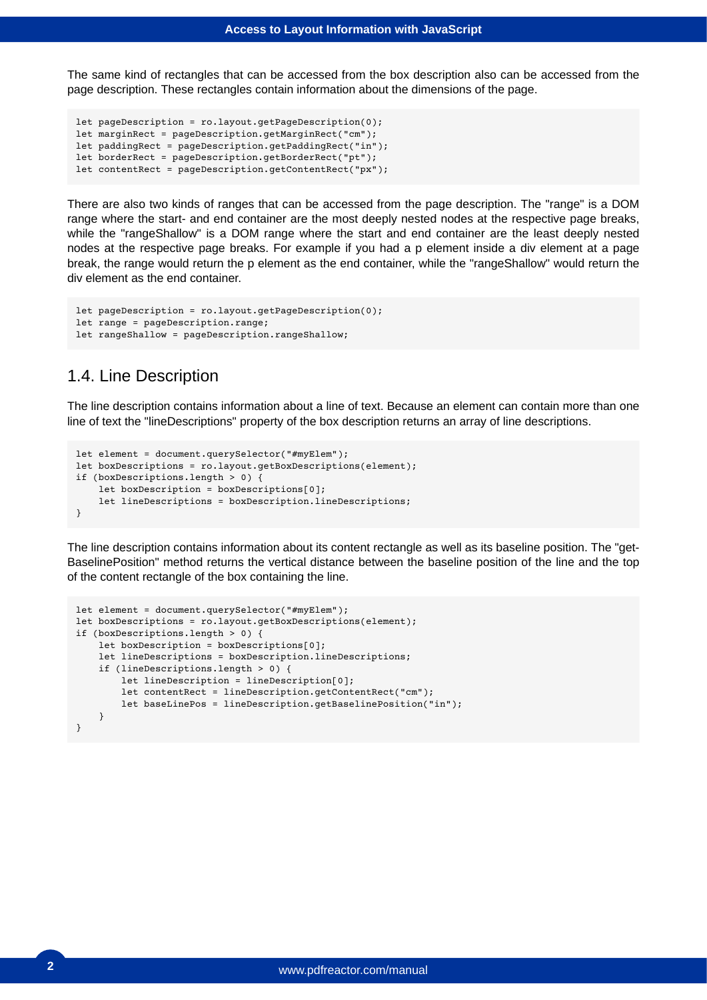The same kind of rectangles that can be accessed from the box description also can be accessed from the page description. These rectangles contain information about the dimensions of the page.

```
let pageDescription = ro.layout.getPageDescription(0); 
let marginRect = pageDescription.getMarginRect("cm"); 
let paddingRect = pageDescription.getPaddingRect("in"); 
let borderRect = pageDescription.getBorderRect("pt"); 
let contentRect = pageDescription.getContentRect("px");
```
There are also two kinds of ranges that can be accessed from the page description. The "range" is a DOM range where the start- and end container are the most deeply nested nodes at the respective page breaks, while the "rangeShallow" is a DOM range where the start and end container are the least deeply nested nodes at the respective page breaks. For example if you had a p element inside a div element at a page break, the range would return the p element as the end container, while the "rangeShallow" would return the div element as the end container.

```
let pageDescription = ro.layout.getPageDescription(0); 
let range = pageDescription.range; 
let rangeShallow = pageDescription.rangeShallow;
```
#### 1.4. Line Description

The line description contains information about a line of text. Because an element can contain more than one line of text the "lineDescriptions" property of the box description returns an array of line descriptions.

```
let element = document.querySelector("#myElem"); 
let boxDescriptions = ro.layout.getBoxDescriptions(element); 
if (boxDescriptions.length > 0) { 
    let boxDescription = boxDescriptions[0]; 
    let lineDescriptions = boxDescription.lineDescriptions; 
}
```
The line description contains information about its content rectangle as well as its baseline position. The "get-BaselinePosition" method returns the vertical distance between the baseline position of the line and the top of the content rectangle of the box containing the line.

```
let element = document.querySelector("#myElem"); 
let boxDescriptions = ro.layout.getBoxDescriptions(element); 
if (boxDescriptions.length > 0) { 
    let boxDescription = boxDescriptions[0]; 
    let lineDescriptions = boxDescription.lineDescriptions; 
    if (lineDescriptions.length > 0) {
         let lineDescription = lineDescription[0]; 
         let contentRect = lineDescription.getContentRect("cm"); 
         let baseLinePos = lineDescription.getBaselinePosition("in");
     } 
}
```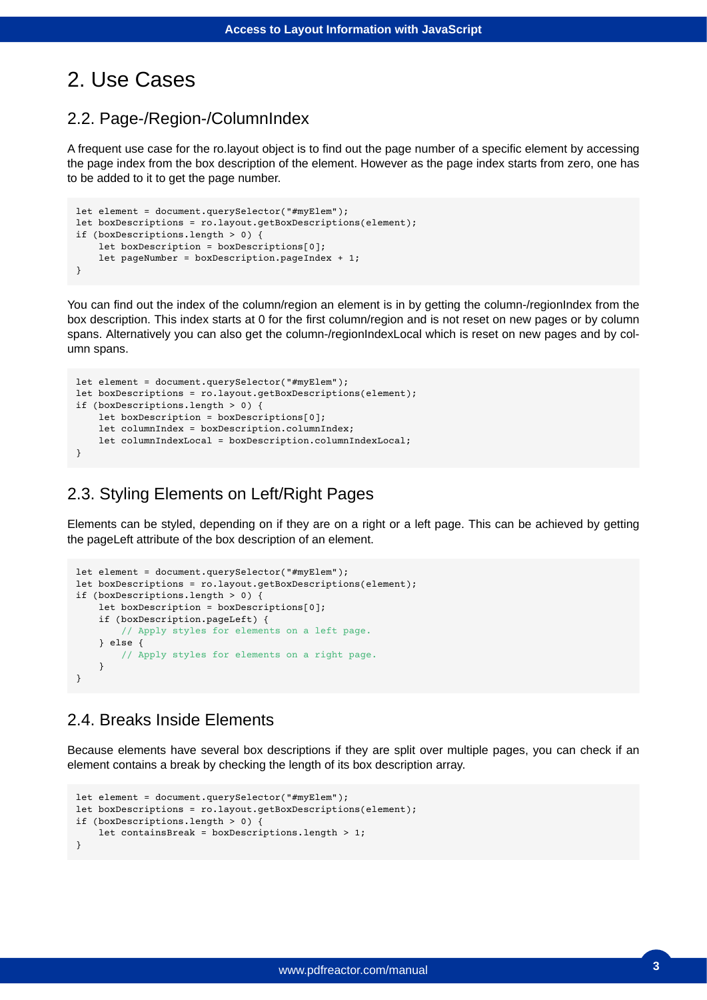# 2. Use Cases

#### 2.2. Page-/Region-/ColumnIndex

A frequent use case for the ro.layout object is to find out the page number of a specific element by accessing the page index from the box description of the element. However as the page index starts from zero, one has to be added to it to get the page number.

```
let element = document.querySelector("#myElem"); 
let boxDescriptions = ro.layout.getBoxDescriptions(element); 
if (boxDescriptions.length > 0) { 
     let boxDescription = boxDescriptions[0]; 
    let pageNumber = boxDescription.pageIndex + 1; 
}
```
You can find out the index of the column/region an element is in by getting the column-/regionIndex from the box description. This index starts at 0 for the first column/region and is not reset on new pages or by column spans. Alternatively you can also get the column-/regionIndexLocal which is reset on new pages and by column spans.

```
let element = document.querySelector("#myElem"); 
let boxDescriptions = ro.layout.getBoxDescriptions(element); 
if (boxDescriptions.length > 0) { 
    let boxDescription = boxDescriptions[0];
    let columnIndex = boxDescription.columnIndex; 
    let columnIndexLocal = boxDescription.columnIndexLocal;
}
```
# 2.3. Styling Elements on Left/Right Pages

Elements can be styled, depending on if they are on a right or a left page. This can be achieved by getting the pageLeft attribute of the box description of an element.

```
let element = document.querySelector("#myElem"); 
let boxDescriptions = ro.layout.getBoxDescriptions(element); 
if (boxDescriptions.length > 0) {
    let boxDescription = boxDescriptions[0];
    if (boxDescription.pageLeft) {
        // Apply styles for elements on a left page.
    } else {
        // Apply styles for elements on a right page.
    }
}
```
# 2.4. Breaks Inside Elements

Because elements have several box descriptions if they are split over multiple pages, you can check if an element contains a break by checking the length of its box description array.

```
let element = document.querySelector("#myElem"); 
let boxDescriptions = ro.layout.getBoxDescriptions(element); 
if (boxDescriptions.length > 0) { 
     let containsBreak = boxDescriptions.length > 1; 
}
```